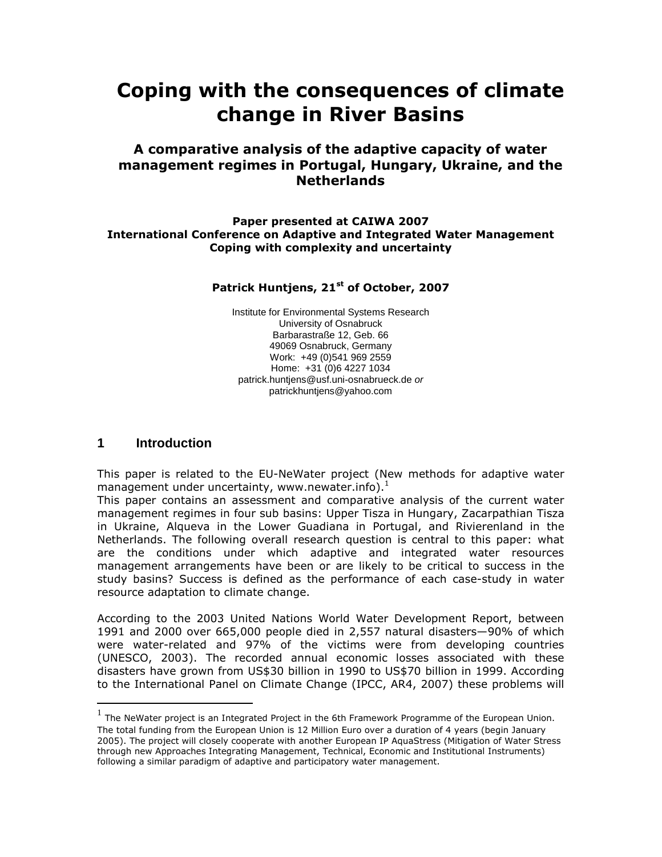# Coping with the consequences of climate change in River Basins

## A comparative analysis of the adaptive capacity of water management regimes in Portugal, Hungary, Ukraine, and the **Netherlands**

#### Paper presented at CAIWA 2007 International Conference on Adaptive and Integrated Water Management Coping with complexity and uncertainty

#### Patrick Huntjens, 21<sup>st</sup> of October, 2007

Institute for Environmental Systems Research University of Osnabruck Barbarastraße 12, Geb. 66 49069 Osnabruck, Germany Work: +49 (0)541 969 2559 Home: +31 (0)6 4227 1034 patrick.huntjens@usf.uni-osnabrueck.de or patrickhuntjens@yahoo.com

### **1 Introduction**

<u>.</u>

This paper is related to the EU-NeWater project (New methods for adaptive water management under uncertainty, www.newater.info). $<sup>1</sup>$ </sup>

This paper contains an assessment and comparative analysis of the current water management regimes in four sub basins: Upper Tisza in Hungary, Zacarpathian Tisza in Ukraine, Alqueva in the Lower Guadiana in Portugal, and Rivierenland in the Netherlands. The following overall research question is central to this paper: what are the conditions under which adaptive and integrated water resources management arrangements have been or are likely to be critical to success in the study basins? Success is defined as the performance of each case-study in water resource adaptation to climate change.

According to the 2003 United Nations World Water Development Report, between 1991 and 2000 over 665,000 people died in 2,557 natural disasters—90% of which were water-related and 97% of the victims were from developing countries (UNESCO, 2003). The recorded annual economic losses associated with these disasters have grown from US\$30 billion in 1990 to US\$70 billion in 1999. According to the International Panel on Climate Change (IPCC, AR4, 2007) these problems will

<sup>1</sup> The NeWater project is an Integrated Project in the 6th Framework Programme of the European Union. The total funding from the European Union is 12 Million Euro over a duration of 4 years (begin January 2005). The project will closely cooperate with another European IP AquaStress (Mitigation of Water Stress through new Approaches Integrating Management, Technical, Economic and Institutional Instruments) following a similar paradigm of adaptive and participatory water management.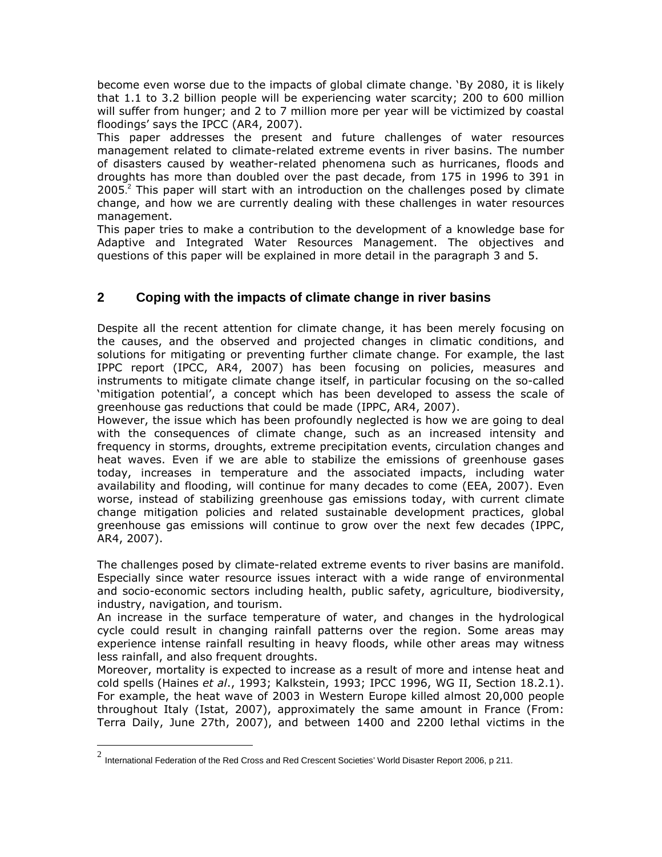become even worse due to the impacts of global climate change. 'By 2080, it is likely that 1.1 to 3.2 billion people will be experiencing water scarcity; 200 to 600 million will suffer from hunger; and 2 to 7 million more per year will be victimized by coastal floodings' says the IPCC (AR4, 2007).

This paper addresses the present and future challenges of water resources management related to climate-related extreme events in river basins. The number of disasters caused by weather-related phenomena such as hurricanes, floods and droughts has more than doubled over the past decade, from 175 in 1996 to 391 in 2005.<sup>2</sup> This paper will start with an introduction on the challenges posed by climate change, and how we are currently dealing with these challenges in water resources management.

This paper tries to make a contribution to the development of a knowledge base for Adaptive and Integrated Water Resources Management. The objectives and questions of this paper will be explained in more detail in the paragraph 3 and 5.

# **2 Coping with the impacts of climate change in river basins**

Despite all the recent attention for climate change, it has been merely focusing on the causes, and the observed and projected changes in climatic conditions, and solutions for mitigating or preventing further climate change. For example, the last IPPC report (IPCC, AR4, 2007) has been focusing on policies, measures and instruments to mitigate climate change itself, in particular focusing on the so-called 'mitigation potential', a concept which has been developed to assess the scale of greenhouse gas reductions that could be made (IPPC, AR4, 2007).

However, the issue which has been profoundly neglected is how we are going to deal with the consequences of climate change, such as an increased intensity and frequency in storms, droughts, extreme precipitation events, circulation changes and heat waves. Even if we are able to stabilize the emissions of greenhouse gases today, increases in temperature and the associated impacts, including water availability and flooding, will continue for many decades to come (EEA, 2007). Even worse, instead of stabilizing greenhouse gas emissions today, with current climate change mitigation policies and related sustainable development practices, global greenhouse gas emissions will continue to grow over the next few decades (IPPC, AR4, 2007).

The challenges posed by climate-related extreme events to river basins are manifold. Especially since water resource issues interact with a wide range of environmental and socio-economic sectors including health, public safety, agriculture, biodiversity, industry, navigation, and tourism.

An increase in the surface temperature of water, and changes in the hydrological cycle could result in changing rainfall patterns over the region. Some areas may experience intense rainfall resulting in heavy floods, while other areas may witness less rainfall, and also frequent droughts.

Moreover, mortality is expected to increase as a result of more and intense heat and cold spells (Haines et al., 1993; Kalkstein, 1993; IPCC 1996, WG II, Section 18.2.1). For example, the heat wave of 2003 in Western Europe killed almost 20,000 people throughout Italy (Istat, 2007), approximately the same amount in France (From: Terra Daily, June 27th, 2007), and between 1400 and 2200 lethal victims in the

 2 International Federation of the Red Cross and Red Crescent Societies' World Disaster Report 2006, p 211.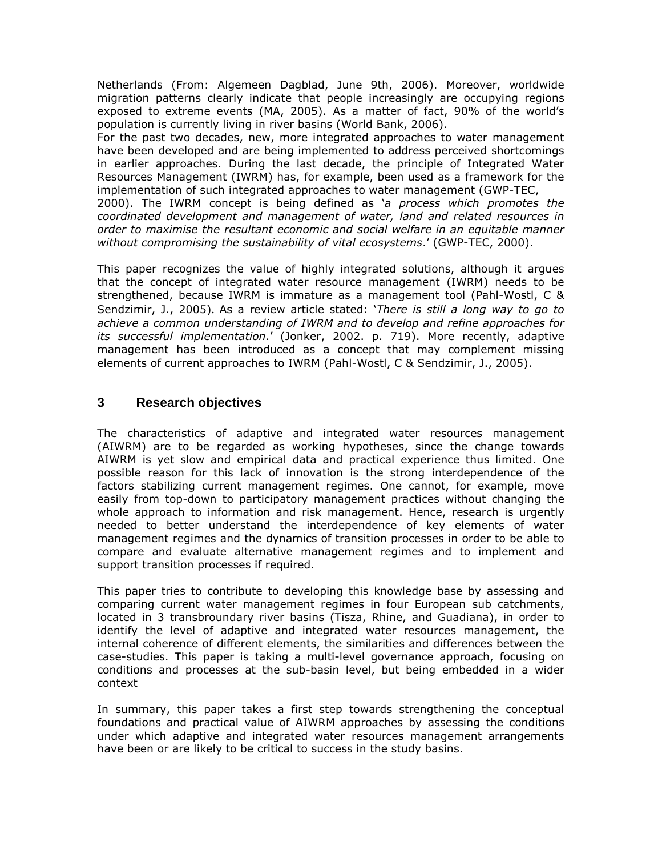Netherlands (From: Algemeen Dagblad, June 9th, 2006). Moreover, worldwide migration patterns clearly indicate that people increasingly are occupying regions exposed to extreme events (MA, 2005). As a matter of fact, 90% of the world's population is currently living in river basins (World Bank, 2006).

For the past two decades, new, more integrated approaches to water management have been developed and are being implemented to address perceived shortcomings in earlier approaches. During the last decade, the principle of Integrated Water Resources Management (IWRM) has, for example, been used as a framework for the implementation of such integrated approaches to water management (GWP-TEC,

2000). The IWRM concept is being defined as 'a process which promotes the coordinated development and management of water, land and related resources in order to maximise the resultant economic and social welfare in an equitable manner without compromising the sustainability of vital ecosystems.' (GWP-TEC, 2000).

This paper recognizes the value of highly integrated solutions, although it argues that the concept of integrated water resource management (IWRM) needs to be strengthened, because IWRM is immature as a management tool (Pahl-Wostl, C & Sendzimir, J., 2005). As a review article stated: 'There is still a long way to go to achieve a common understanding of IWRM and to develop and refine approaches for its successful implementation.' (Jonker, 2002. p. 719). More recently, adaptive management has been introduced as a concept that may complement missing elements of current approaches to IWRM (Pahl-Wostl, C & Sendzimir, J., 2005).

## **3 Research objectives**

The characteristics of adaptive and integrated water resources management (AIWRM) are to be regarded as working hypotheses, since the change towards AIWRM is yet slow and empirical data and practical experience thus limited. One possible reason for this lack of innovation is the strong interdependence of the factors stabilizing current management regimes. One cannot, for example, move easily from top-down to participatory management practices without changing the whole approach to information and risk management. Hence, research is urgently needed to better understand the interdependence of key elements of water management regimes and the dynamics of transition processes in order to be able to compare and evaluate alternative management regimes and to implement and support transition processes if required.

This paper tries to contribute to developing this knowledge base by assessing and comparing current water management regimes in four European sub catchments, located in 3 transbroundary river basins (Tisza, Rhine, and Guadiana), in order to identify the level of adaptive and integrated water resources management, the internal coherence of different elements, the similarities and differences between the case-studies. This paper is taking a multi-level governance approach, focusing on conditions and processes at the sub-basin level, but being embedded in a wider context

In summary, this paper takes a first step towards strengthening the conceptual foundations and practical value of AIWRM approaches by assessing the conditions under which adaptive and integrated water resources management arrangements have been or are likely to be critical to success in the study basins.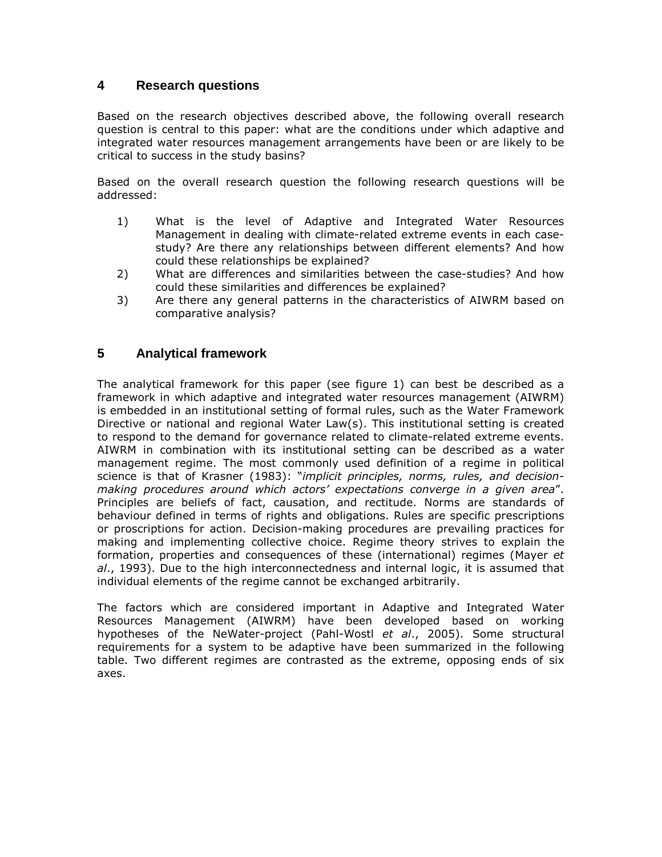## **4 Research questions**

Based on the research objectives described above, the following overall research question is central to this paper: what are the conditions under which adaptive and integrated water resources management arrangements have been or are likely to be critical to success in the study basins?

Based on the overall research question the following research questions will be addressed:

- 1) What is the level of Adaptive and Integrated Water Resources Management in dealing with climate-related extreme events in each casestudy? Are there any relationships between different elements? And how could these relationships be explained?
- 2) What are differences and similarities between the case-studies? And how could these similarities and differences be explained?
- 3) Are there any general patterns in the characteristics of AIWRM based on comparative analysis?

## **5 Analytical framework**

The analytical framework for this paper (see figure 1) can best be described as a framework in which adaptive and integrated water resources management (AIWRM) is embedded in an institutional setting of formal rules, such as the Water Framework Directive or national and regional Water Law(s). This institutional setting is created to respond to the demand for governance related to climate-related extreme events. AIWRM in combination with its institutional setting can be described as a water management regime. The most commonly used definition of a regime in political science is that of Krasner (1983): "implicit principles, norms, rules, and decisionmaking procedures around which actors' expectations converge in a given area". Principles are beliefs of fact, causation, and rectitude. Norms are standards of behaviour defined in terms of rights and obligations. Rules are specific prescriptions or proscriptions for action. Decision-making procedures are prevailing practices for making and implementing collective choice. Regime theory strives to explain the formation, properties and consequences of these (international) regimes (Mayer et  $al.$ , 1993). Due to the high interconnectedness and internal logic, it is assumed that individual elements of the regime cannot be exchanged arbitrarily.

The factors which are considered important in Adaptive and Integrated Water Resources Management (AIWRM) have been developed based on working hypotheses of the NeWater-project (Pahl-Wostl et al., 2005). Some structural requirements for a system to be adaptive have been summarized in the following table. Two different regimes are contrasted as the extreme, opposing ends of six axes.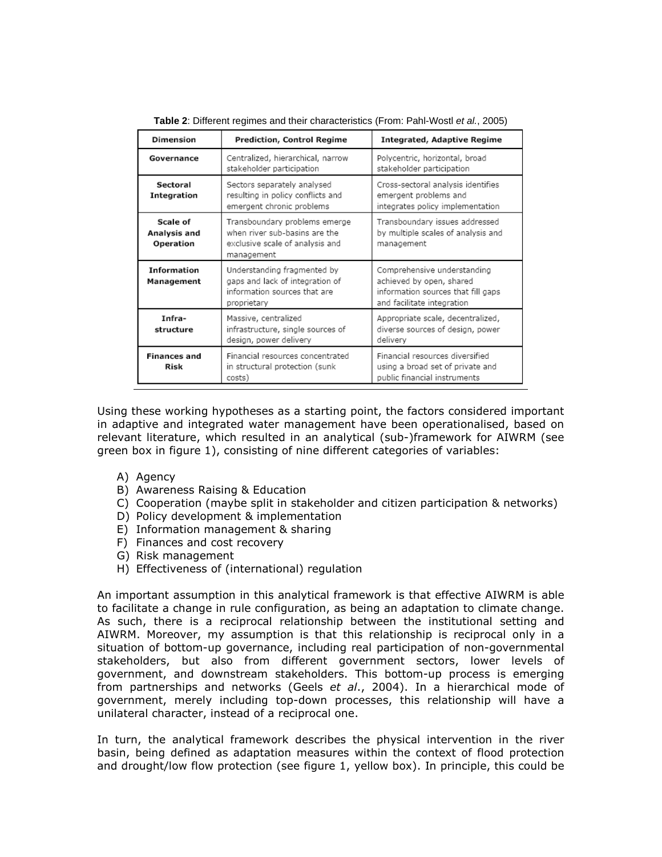| Dimension                             | <b>Prediction, Control Regime</b>                                                                               | <b>Integrated, Adaptive Regime</b>                                                                                          |
|---------------------------------------|-----------------------------------------------------------------------------------------------------------------|-----------------------------------------------------------------------------------------------------------------------------|
| Governance                            | Centralized, hierarchical, narrow<br>stakeholder participation                                                  | Polycentric, horizontal, broad<br>stakeholder participation                                                                 |
| Sectoral<br>Integration               | Sectors separately analysed<br>resulting in policy conflicts and<br>emergent chronic problems                   | Cross-sectoral analysis identifies<br>emergent problems and<br>integrates policy implementation                             |
| Scale of<br>Analysis and<br>Operation | Transboundary problems emerge<br>when river sub-basins are the<br>exclusive scale of analysis and<br>management | Transboundary issues addressed<br>by multiple scales of analysis and<br>management                                          |
| <b>Information</b><br>Management      | Understanding fragmented by<br>gaps and lack of integration of<br>information sources that are<br>proprietary   | Comprehensive understanding<br>achieved by open, shared<br>information sources that fill gaps<br>and facilitate integration |
| Infra-<br>structure                   | Massive, centralized<br>infrastructure, single sources of<br>design, power delivery                             | Appropriate scale, decentralized,<br>diverse sources of design, power<br>delivery                                           |
| <b>Finances and</b><br>Risk           | Einancial resources concentrated<br>in structural protection (sunk<br>costs)                                    | Financial resources diversified<br>using a broad set of private and<br>public financial instruments                         |

**Table 2**: Different regimes and their characteristics (From: Pahl-Wostl et al., 2005)

Using these working hypotheses as a starting point, the factors considered important in adaptive and integrated water management have been operationalised, based on relevant literature, which resulted in an analytical (sub-)framework for AIWRM (see green box in figure 1), consisting of nine different categories of variables:

- A) Agency
- B) Awareness Raising & Education
- C) Cooperation (maybe split in stakeholder and citizen participation & networks)
- D) Policy development & implementation
- E) Information management & sharing
- F) Finances and cost recovery
- G) Risk management
- H) Effectiveness of (international) regulation

An important assumption in this analytical framework is that effective AIWRM is able to facilitate a change in rule configuration, as being an adaptation to climate change. As such, there is a reciprocal relationship between the institutional setting and AIWRM. Moreover, my assumption is that this relationship is reciprocal only in a situation of bottom-up governance, including real participation of non-governmental stakeholders, but also from different government sectors, lower levels of government, and downstream stakeholders. This bottom-up process is emerging from partnerships and networks (Geels et al., 2004). In a hierarchical mode of government, merely including top-down processes, this relationship will have a unilateral character, instead of a reciprocal one.

In turn, the analytical framework describes the physical intervention in the river basin, being defined as adaptation measures within the context of flood protection and drought/low flow protection (see figure 1, yellow box). In principle, this could be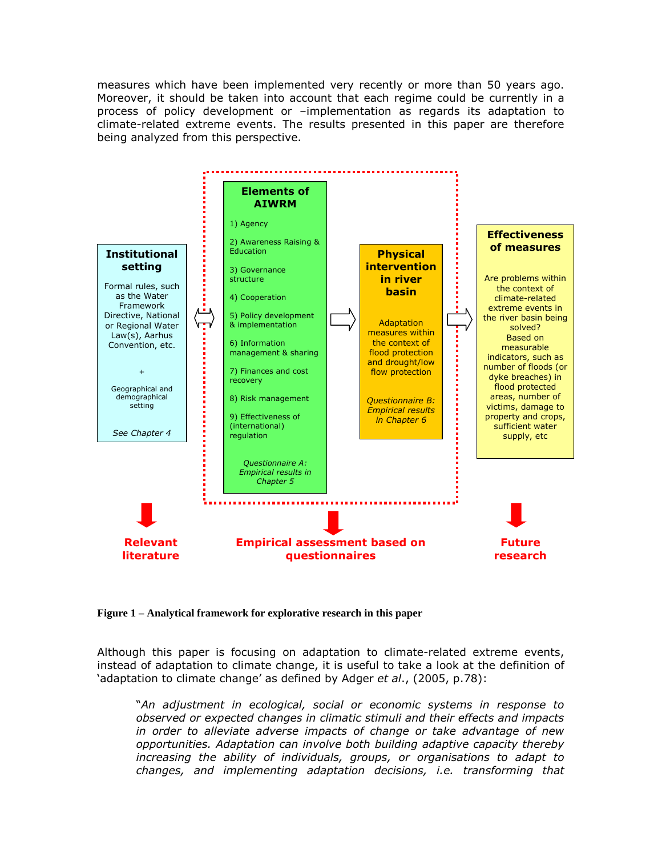measures which have been implemented very recently or more than 50 years ago. Moreover, it should be taken into account that each regime could be currently in a process of policy development or –implementation as regards its adaptation to climate-related extreme events. The results presented in this paper are therefore being analyzed from this perspective.



**Figure 1 – Analytical framework for explorative research in this paper** 

Although this paper is focusing on adaptation to climate-related extreme events, instead of adaptation to climate change, it is useful to take a look at the definition of 'adaptation to climate change' as defined by Adger et al., (2005, p.78):

 "An adjustment in ecological, social or economic systems in response to observed or expected changes in climatic stimuli and their effects and impacts in order to alleviate adverse impacts of change or take advantage of new opportunities. Adaptation can involve both building adaptive capacity thereby increasing the ability of individuals, groups, or organisations to adapt to changes, and implementing adaptation decisions, i.e. transforming that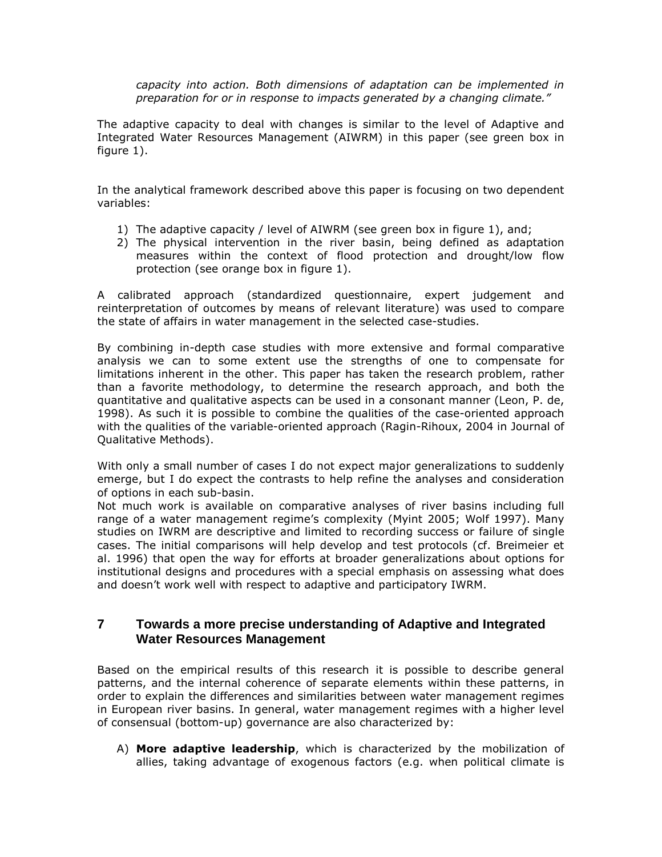capacity into action. Both dimensions of adaptation can be implemented in preparation for or in response to impacts generated by a changing climate."

The adaptive capacity to deal with changes is similar to the level of Adaptive and Integrated Water Resources Management (AIWRM) in this paper (see green box in figure 1).

In the analytical framework described above this paper is focusing on two dependent variables:

- 1) The adaptive capacity / level of AIWRM (see green box in figure 1), and;
- 2) The physical intervention in the river basin, being defined as adaptation measures within the context of flood protection and drought/low flow protection (see orange box in figure 1).

A calibrated approach (standardized questionnaire, expert judgement and reinterpretation of outcomes by means of relevant literature) was used to compare the state of affairs in water management in the selected case-studies.

By combining in-depth case studies with more extensive and formal comparative analysis we can to some extent use the strengths of one to compensate for limitations inherent in the other. This paper has taken the research problem, rather than a favorite methodology, to determine the research approach, and both the quantitative and qualitative aspects can be used in a consonant manner (Leon, P. de, 1998). As such it is possible to combine the qualities of the case-oriented approach with the qualities of the variable-oriented approach (Ragin-Rihoux, 2004 in Journal of Qualitative Methods).

With only a small number of cases I do not expect major generalizations to suddenly emerge, but I do expect the contrasts to help refine the analyses and consideration of options in each sub-basin.

Not much work is available on comparative analyses of river basins including full range of a water management regime's complexity (Myint 2005; Wolf 1997). Many studies on IWRM are descriptive and limited to recording success or failure of single cases. The initial comparisons will help develop and test protocols (cf. Breimeier et al. 1996) that open the way for efforts at broader generalizations about options for institutional designs and procedures with a special emphasis on assessing what does and doesn't work well with respect to adaptive and participatory IWRM.

### **7 Towards a more precise understanding of Adaptive and Integrated Water Resources Management**

Based on the empirical results of this research it is possible to describe general patterns, and the internal coherence of separate elements within these patterns, in order to explain the differences and similarities between water management regimes in European river basins. In general, water management regimes with a higher level of consensual (bottom-up) governance are also characterized by:

A) More adaptive leadership, which is characterized by the mobilization of allies, taking advantage of exogenous factors (e.g. when political climate is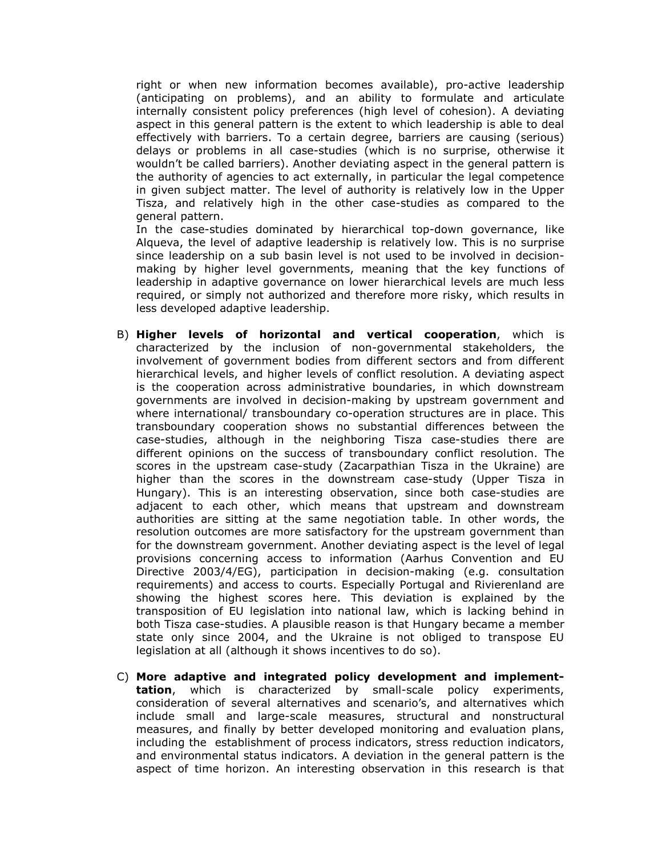right or when new information becomes available), pro-active leadership (anticipating on problems), and an ability to formulate and articulate internally consistent policy preferences (high level of cohesion). A deviating aspect in this general pattern is the extent to which leadership is able to deal effectively with barriers. To a certain degree, barriers are causing (serious) delays or problems in all case-studies (which is no surprise, otherwise it wouldn't be called barriers). Another deviating aspect in the general pattern is the authority of agencies to act externally, in particular the legal competence in given subject matter. The level of authority is relatively low in the Upper Tisza, and relatively high in the other case-studies as compared to the general pattern.

In the case-studies dominated by hierarchical top-down governance, like Alqueva, the level of adaptive leadership is relatively low. This is no surprise since leadership on a sub basin level is not used to be involved in decisionmaking by higher level governments, meaning that the key functions of leadership in adaptive governance on lower hierarchical levels are much less required, or simply not authorized and therefore more risky, which results in less developed adaptive leadership.

- B) Higher levels of horizontal and vertical cooperation, which is characterized by the inclusion of non-governmental stakeholders, the involvement of government bodies from different sectors and from different hierarchical levels, and higher levels of conflict resolution. A deviating aspect is the cooperation across administrative boundaries, in which downstream governments are involved in decision-making by upstream government and where international/ transboundary co-operation structures are in place. This transboundary cooperation shows no substantial differences between the case-studies, although in the neighboring Tisza case-studies there are different opinions on the success of transboundary conflict resolution. The scores in the upstream case-study (Zacarpathian Tisza in the Ukraine) are higher than the scores in the downstream case-study (Upper Tisza in Hungary). This is an interesting observation, since both case-studies are adjacent to each other, which means that upstream and downstream authorities are sitting at the same negotiation table. In other words, the resolution outcomes are more satisfactory for the upstream government than for the downstream government. Another deviating aspect is the level of legal provisions concerning access to information (Aarhus Convention and EU Directive 2003/4/EG), participation in decision-making (e.g. consultation requirements) and access to courts. Especially Portugal and Rivierenland are showing the highest scores here. This deviation is explained by the transposition of EU legislation into national law, which is lacking behind in both Tisza case-studies. A plausible reason is that Hungary became a member state only since 2004, and the Ukraine is not obliged to transpose EU legislation at all (although it shows incentives to do so).
- C) More adaptive and integrated policy development and implementtation, which is characterized by small-scale policy experiments, consideration of several alternatives and scenario's, and alternatives which include small and large-scale measures, structural and nonstructural measures, and finally by better developed monitoring and evaluation plans, including the establishment of process indicators, stress reduction indicators, and environmental status indicators. A deviation in the general pattern is the aspect of time horizon. An interesting observation in this research is that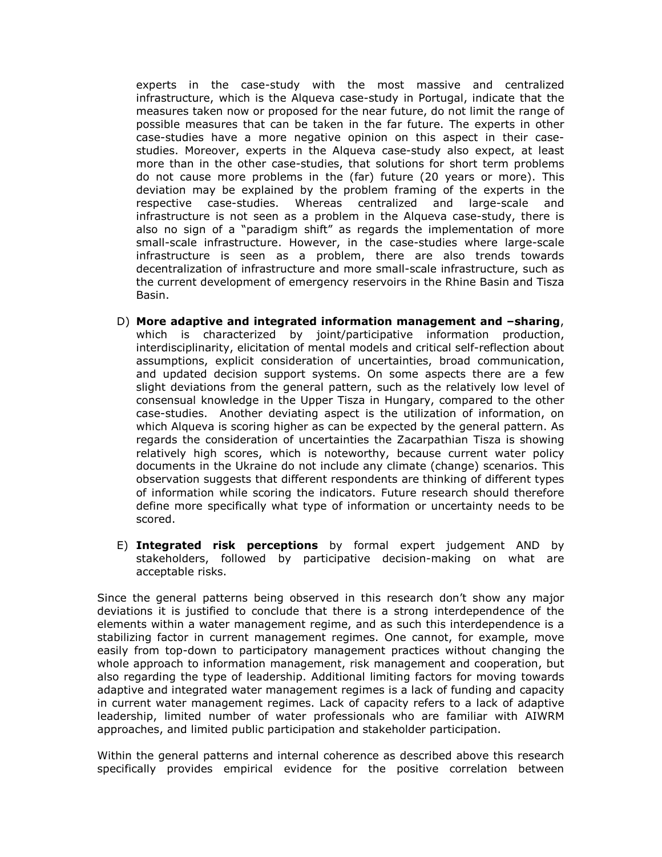experts in the case-study with the most massive and centralized infrastructure, which is the Alqueva case-study in Portugal, indicate that the measures taken now or proposed for the near future, do not limit the range of possible measures that can be taken in the far future. The experts in other case-studies have a more negative opinion on this aspect in their casestudies. Moreover, experts in the Alqueva case-study also expect, at least more than in the other case-studies, that solutions for short term problems do not cause more problems in the (far) future (20 years or more). This deviation may be explained by the problem framing of the experts in the respective case-studies. Whereas centralized and large-scale and infrastructure is not seen as a problem in the Alqueva case-study, there is also no sign of a "paradigm shift" as regards the implementation of more small-scale infrastructure. However, in the case-studies where large-scale infrastructure is seen as a problem, there are also trends towards decentralization of infrastructure and more small-scale infrastructure, such as the current development of emergency reservoirs in the Rhine Basin and Tisza Basin.

- D) More adaptive and integrated information management and –sharing, which is characterized by joint/participative information production, interdisciplinarity, elicitation of mental models and critical self-reflection about assumptions, explicit consideration of uncertainties, broad communication, and updated decision support systems. On some aspects there are a few slight deviations from the general pattern, such as the relatively low level of consensual knowledge in the Upper Tisza in Hungary, compared to the other case-studies. Another deviating aspect is the utilization of information, on which Alqueva is scoring higher as can be expected by the general pattern. As regards the consideration of uncertainties the Zacarpathian Tisza is showing relatively high scores, which is noteworthy, because current water policy documents in the Ukraine do not include any climate (change) scenarios. This observation suggests that different respondents are thinking of different types of information while scoring the indicators. Future research should therefore define more specifically what type of information or uncertainty needs to be scored.
- E) Integrated risk perceptions by formal expert judgement AND by stakeholders, followed by participative decision-making on what are acceptable risks.

Since the general patterns being observed in this research don't show any major deviations it is justified to conclude that there is a strong interdependence of the elements within a water management regime, and as such this interdependence is a stabilizing factor in current management regimes. One cannot, for example, move easily from top-down to participatory management practices without changing the whole approach to information management, risk management and cooperation, but also regarding the type of leadership. Additional limiting factors for moving towards adaptive and integrated water management regimes is a lack of funding and capacity in current water management regimes. Lack of capacity refers to a lack of adaptive leadership, limited number of water professionals who are familiar with AIWRM approaches, and limited public participation and stakeholder participation.

Within the general patterns and internal coherence as described above this research specifically provides empirical evidence for the positive correlation between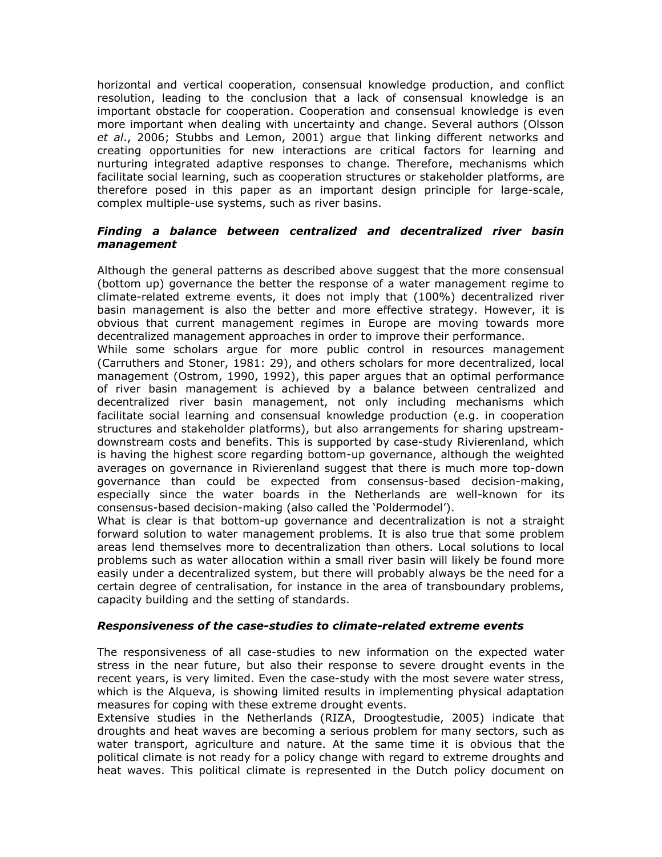horizontal and vertical cooperation, consensual knowledge production, and conflict resolution, leading to the conclusion that a lack of consensual knowledge is an important obstacle for cooperation. Cooperation and consensual knowledge is even more important when dealing with uncertainty and change. Several authors (Olsson et al., 2006; Stubbs and Lemon, 2001) argue that linking different networks and creating opportunities for new interactions are critical factors for learning and nurturing integrated adaptive responses to change. Therefore, mechanisms which facilitate social learning, such as cooperation structures or stakeholder platforms, are therefore posed in this paper as an important design principle for large-scale, complex multiple-use systems, such as river basins.

#### Finding a balance between centralized and decentralized river basin management

Although the general patterns as described above suggest that the more consensual (bottom up) governance the better the response of a water management regime to climate-related extreme events, it does not imply that (100%) decentralized river basin management is also the better and more effective strategy. However, it is obvious that current management regimes in Europe are moving towards more decentralized management approaches in order to improve their performance.

While some scholars argue for more public control in resources management (Carruthers and Stoner, 1981: 29), and others scholars for more decentralized, local management (Ostrom, 1990, 1992), this paper argues that an optimal performance of river basin management is achieved by a balance between centralized and decentralized river basin management, not only including mechanisms which facilitate social learning and consensual knowledge production (e.g. in cooperation structures and stakeholder platforms), but also arrangements for sharing upstreamdownstream costs and benefits. This is supported by case-study Rivierenland, which is having the highest score regarding bottom-up governance, although the weighted averages on governance in Rivierenland suggest that there is much more top-down governance than could be expected from consensus-based decision-making, especially since the water boards in the Netherlands are well-known for its consensus-based decision-making (also called the 'Poldermodel').

What is clear is that bottom-up governance and decentralization is not a straight forward solution to water management problems. It is also true that some problem areas lend themselves more to decentralization than others. Local solutions to local problems such as water allocation within a small river basin will likely be found more easily under a decentralized system, but there will probably always be the need for a certain degree of centralisation, for instance in the area of transboundary problems, capacity building and the setting of standards.

#### Responsiveness of the case-studies to climate-related extreme events

The responsiveness of all case-studies to new information on the expected water stress in the near future, but also their response to severe drought events in the recent years, is very limited. Even the case-study with the most severe water stress, which is the Alqueva, is showing limited results in implementing physical adaptation measures for coping with these extreme drought events.

Extensive studies in the Netherlands (RIZA, Droogtestudie, 2005) indicate that droughts and heat waves are becoming a serious problem for many sectors, such as water transport, agriculture and nature. At the same time it is obvious that the political climate is not ready for a policy change with regard to extreme droughts and heat waves. This political climate is represented in the Dutch policy document on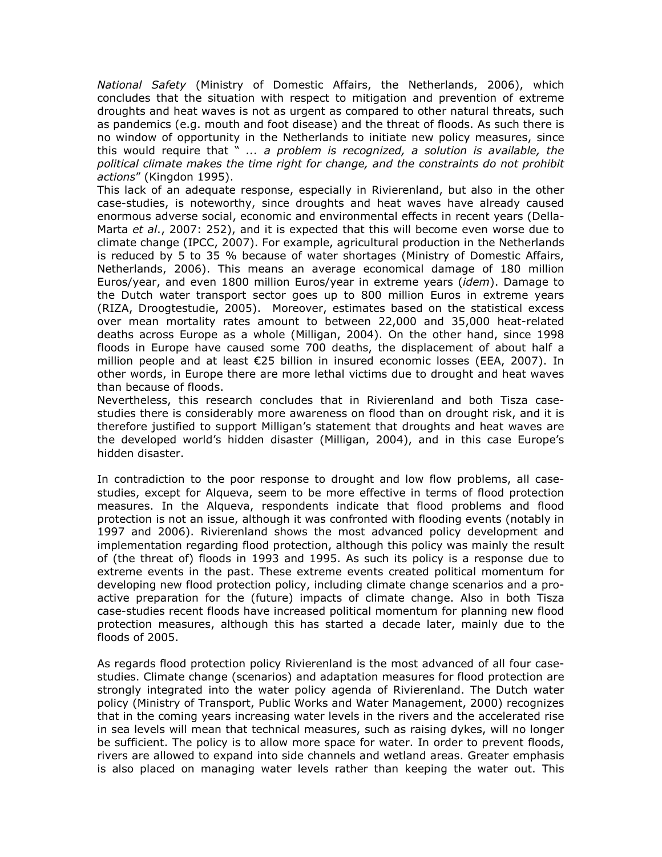National Safety (Ministry of Domestic Affairs, the Netherlands, 2006), which concludes that the situation with respect to mitigation and prevention of extreme droughts and heat waves is not as urgent as compared to other natural threats, such as pandemics (e.g. mouth and foot disease) and the threat of floods. As such there is no window of opportunity in the Netherlands to initiate new policy measures, since this would require that  $" \ldots a$  problem is recognized, a solution is available, the political climate makes the time right for change, and the constraints do not prohibit actions" (Kingdon 1995).

This lack of an adequate response, especially in Rivierenland, but also in the other case-studies, is noteworthy, since droughts and heat waves have already caused enormous adverse social, economic and environmental effects in recent years (Della-Marta et al., 2007: 252), and it is expected that this will become even worse due to climate change (IPCC, 2007). For example, agricultural production in the Netherlands is reduced by 5 to 35 % because of water shortages (Ministry of Domestic Affairs, Netherlands, 2006). This means an average economical damage of 180 million Euros/year, and even 1800 million Euros/year in extreme years (idem). Damage to the Dutch water transport sector goes up to 800 million Euros in extreme years (RIZA, Droogtestudie, 2005). Moreover, estimates based on the statistical excess over mean mortality rates amount to between 22,000 and 35,000 heat-related deaths across Europe as a whole (Milligan, 2004). On the other hand, since 1998 floods in Europe have caused some 700 deaths, the displacement of about half a million people and at least €25 billion in insured economic losses (EEA, 2007). In other words, in Europe there are more lethal victims due to drought and heat waves than because of floods.

Nevertheless, this research concludes that in Rivierenland and both Tisza casestudies there is considerably more awareness on flood than on drought risk, and it is therefore justified to support Milligan's statement that droughts and heat waves are the developed world's hidden disaster (Milligan, 2004), and in this case Europe's hidden disaster.

In contradiction to the poor response to drought and low flow problems, all casestudies, except for Alqueva, seem to be more effective in terms of flood protection measures. In the Alqueva, respondents indicate that flood problems and flood protection is not an issue, although it was confronted with flooding events (notably in 1997 and 2006). Rivierenland shows the most advanced policy development and implementation regarding flood protection, although this policy was mainly the result of (the threat of) floods in 1993 and 1995. As such its policy is a response due to extreme events in the past. These extreme events created political momentum for developing new flood protection policy, including climate change scenarios and a proactive preparation for the (future) impacts of climate change. Also in both Tisza case-studies recent floods have increased political momentum for planning new flood protection measures, although this has started a decade later, mainly due to the floods of 2005.

As regards flood protection policy Rivierenland is the most advanced of all four casestudies. Climate change (scenarios) and adaptation measures for flood protection are strongly integrated into the water policy agenda of Rivierenland. The Dutch water policy (Ministry of Transport, Public Works and Water Management, 2000) recognizes that in the coming years increasing water levels in the rivers and the accelerated rise in sea levels will mean that technical measures, such as raising dykes, will no longer be sufficient. The policy is to allow more space for water. In order to prevent floods, rivers are allowed to expand into side channels and wetland areas. Greater emphasis is also placed on managing water levels rather than keeping the water out. This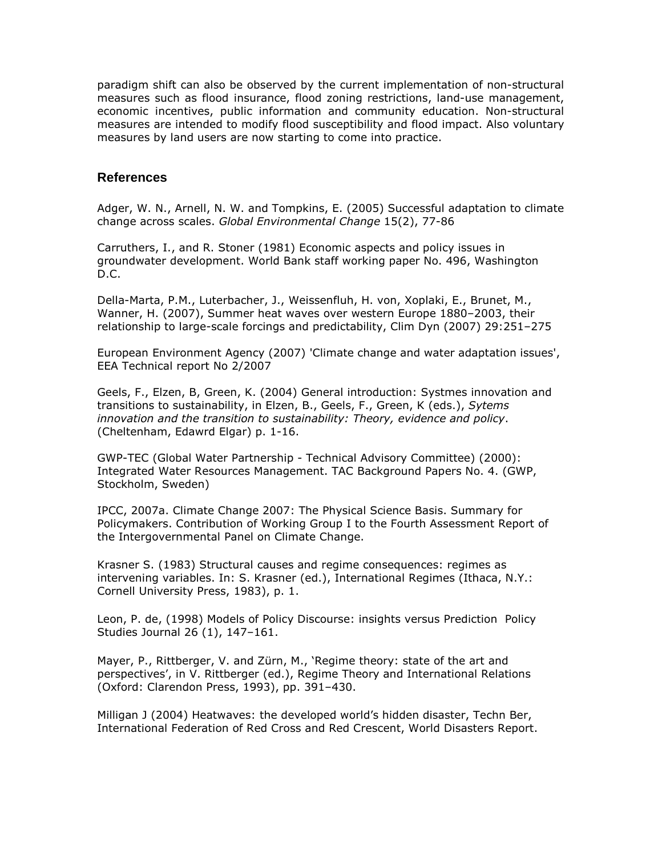paradigm shift can also be observed by the current implementation of non-structural measures such as flood insurance, flood zoning restrictions, land-use management, economic incentives, public information and community education. Non-structural measures are intended to modify flood susceptibility and flood impact. Also voluntary measures by land users are now starting to come into practice.

### **References**

Adger, W. N., Arnell, N. W. and Tompkins, E. (2005) Successful adaptation to climate change across scales. Global Environmental Change 15(2), 77-86

Carruthers, I., and R. Stoner (1981) Economic aspects and policy issues in groundwater development. World Bank staff working paper No. 496, Washington D.C.

Della-Marta, P.M., Luterbacher, J., Weissenfluh, H. von, Xoplaki, E., Brunet, M., Wanner, H. (2007), Summer heat waves over western Europe 1880–2003, their relationship to large-scale forcings and predictability, Clim Dyn (2007) 29:251–275

European Environment Agency (2007) 'Climate change and water adaptation issues', EEA Technical report No 2/2007

Geels, F., Elzen, B, Green, K. (2004) General introduction: Systmes innovation and transitions to sustainability, in Elzen, B., Geels, F., Green, K (eds.), Sytems innovation and the transition to sustainability: Theory, evidence and policy. (Cheltenham, Edawrd Elgar) p. 1-16.

GWP-TEC (Global Water Partnership - Technical Advisory Committee) (2000): Integrated Water Resources Management. TAC Background Papers No. 4. (GWP, Stockholm, Sweden)

IPCC, 2007a. Climate Change 2007: The Physical Science Basis. Summary for Policymakers. Contribution of Working Group I to the Fourth Assessment Report of the Intergovernmental Panel on Climate Change.

Krasner S. (1983) Structural causes and regime consequences: regimes as intervening variables. In: S. Krasner (ed.), International Regimes (Ithaca, N.Y.: Cornell University Press, 1983), p. 1.

Leon, P. de, (1998) Models of Policy Discourse: insights versus Prediction Policy Studies Journal 26 (1), 147–161.

Mayer, P., Rittberger, V. and Zürn, M., 'Regime theory: state of the art and perspectives', in V. Rittberger (ed.), Regime Theory and International Relations (Oxford: Clarendon Press, 1993), pp. 391–430.

Milligan J (2004) Heatwaves: the developed world's hidden disaster, Techn Ber, International Federation of Red Cross and Red Crescent, World Disasters Report.